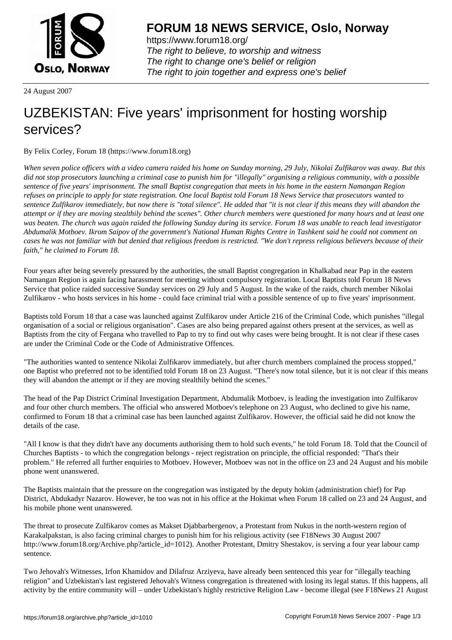

https://www.forum18.org/ The right to believe, to worship and witness The right to change one's belief or religion [The right to join together a](https://www.forum18.org/)nd express one's belief

24 August 2007

## [UZBEKISTAN:](https://www.forum18.org) Five years' imprisonment for hosting worship services?

By Felix Corley, Forum 18 (https://www.forum18.org)

*When seven police officers with a video camera raided his home on Sunday morning, 29 July, Nikolai Zulfikarov was away. But this did not stop prosecutors launching a criminal case to punish him for "illegally" organising a religious community, with a possible sentence of five years' imprisonment. The small Baptist congregation that meets in his home in the eastern Namangan Region refuses on principle to apply for state registration. One local Baptist told Forum 18 News Service that prosecutors wanted to sentence Zulfikarov immediately, but now there is "total silence". He added that "it is not clear if this means they will abandon the attempt or if they are moving stealthily behind the scenes". Other church members were questioned for many hours and at least one was beaten. The church was again raided the following Sunday during its service. Forum 18 was unable to reach lead investigator Abdumalik Motboev. Ikrom Saipov of the government's National Human Rights Centre in Tashkent said he could not comment on cases he was not familiar with but denied that religious freedom is restricted. "We don't repress religious believers because of their faith," he claimed to Forum 18.*

Four years after being severely pressured by the authorities, the small Baptist congregation in Khalkabad near Pap in the eastern Namangan Region is again facing harassment for meeting without compulsory registration. Local Baptists told Forum 18 News Service that police raided successive Sunday services on 29 July and 5 August. In the wake of the raids, church member Nikolai Zulfikarov - who hosts services in his home - could face criminal trial with a possible sentence of up to five years' imprisonment.

Baptists told Forum 18 that a case was launched against Zulfikarov under Article 216 of the Criminal Code, which punishes "illegal organisation of a social or religious organisation". Cases are also being prepared against others present at the services, as well as Baptists from the city of Fergana who travelled to Pap to try to find out why cases were being brought. It is not clear if these cases are under the Criminal Code or the Code of Administrative Offences.

"The authorities wanted to sentence Nikolai Zulfikarov immediately, but after church members complained the process stopped," one Baptist who preferred not to be identified told Forum 18 on 23 August. "There's now total silence, but it is not clear if this means they will abandon the attempt or if they are moving stealthily behind the scenes."

The head of the Pap District Criminal Investigation Department, Abdumalik Motboev, is leading the investigation into Zulfikarov and four other church members. The official who answered Motboev's telephone on 23 August, who declined to give his name, confirmed to Forum 18 that a criminal case has been launched against Zulfikarov. However, the official said he did not know the details of the case.

"All I know is that they didn't have any documents authorising them to hold such events," he told Forum 18. Told that the Council of Churches Baptists - to which the congregation belongs - reject registration on principle, the official responded: "That's their problem." He referred all further enquiries to Motboev. However, Motboev was not in the office on 23 and 24 August and his mobile phone went unanswered.

The Baptists maintain that the pressure on the congregation was instigated by the deputy hokim (administration chief) for Pap District, Abdukadyr Nazarov. However, he too was not in his office at the Hokimat when Forum 18 called on 23 and 24 August, and his mobile phone went unanswered.

The threat to prosecute Zulfikarov comes as Makset Djabbarbergenov, a Protestant from Nukus in the north-western region of Karakalpakstan, is also facing criminal charges to punish him for his religious activity (see F18News 30 August 2007 http://www.forum18.org/Archive.php?article\_id=1012). Another Protestant, Dmitry Shestakov, is serving a four year labour camp sentence.

Two Jehovah's Witnesses, Irfon Khamidov and Dilafruz Arziyeva, have already been sentenced this year for "illegally teaching religion" and Uzbekistan's last registered Jehovah's Witness congregation is threatened with losing its legal status. If this happens, all activity by the entire community will – under Uzbekistan's highly restrictive Religion Law - become illegal (see F18News 21 August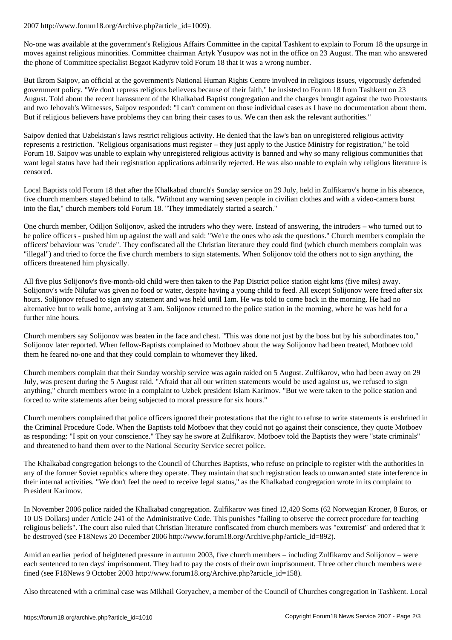No-one was available at the government's Religious Affairs Committee in the capital Tashkent to explain to Forum 18 the upsurge in moves against religious minorities. Committee chairman Artyk Yusupov was not in the office on 23 August. The man who answered the phone of Committee specialist Begzot Kadyrov told Forum 18 that it was a wrong number.

But Ikrom Saipov, an official at the government's National Human Rights Centre involved in religious issues, vigorously defended government policy. "We don't repress religious believers because of their faith," he insisted to Forum 18 from Tashkent on 23 August. Told about the recent harassment of the Khalkabad Baptist congregation and the charges brought against the two Protestants and two Jehovah's Witnesses, Saipov responded: "I can't comment on those individual cases as I have no documentation about them. But if religious believers have problems they can bring their cases to us. We can then ask the relevant authorities."

Saipov denied that Uzbekistan's laws restrict religious activity. He denied that the law's ban on unregistered religious activity represents a restriction. "Religious organisations must register – they just apply to the Justice Ministry for registration," he told Forum 18. Saipov was unable to explain why unregistered religious activity is banned and why so many religious communities that want legal status have had their registration applications arbitrarily rejected. He was also unable to explain why religious literature is censored.

Local Baptists told Forum 18 that after the Khalkabad church's Sunday service on 29 July, held in Zulfikarov's home in his absence, five church members stayed behind to talk. "Without any warning seven people in civilian clothes and with a video-camera burst into the flat," church members told Forum 18. "They immediately started a search."

One church member, Odiljon Solijonov, asked the intruders who they were. Instead of answering, the intruders – who turned out to be police officers - pushed him up against the wall and said: "We're the ones who ask the questions." Church members complain the officers' behaviour was "crude". They confiscated all the Christian literature they could find (which church members complain was "illegal") and tried to force the five church members to sign statements. When Solijonov told the others not to sign anything, the officers threatened him physically.

All five plus Solijonov's five-month-old child were then taken to the Pap District police station eight kms (five miles) away. Solijonov's wife Nilufar was given no food or water, despite having a young child to feed. All except Solijonov were freed after six hours. Solijonov refused to sign any statement and was held until 1am. He was told to come back in the morning. He had no alternative but to walk home, arriving at 3 am. Solijonov returned to the police station in the morning, where he was held for a further nine hours.

Church members say Solijonov was beaten in the face and chest. "This was done not just by the boss but by his subordinates too," Solijonov later reported. When fellow-Baptists complained to Motboev about the way Solijonov had been treated, Motboev told them he feared no-one and that they could complain to whomever they liked.

Church members complain that their Sunday worship service was again raided on 5 August. Zulfikarov, who had been away on 29 July, was present during the 5 August raid. "Afraid that all our written statements would be used against us, we refused to sign anything," church members wrote in a complaint to Uzbek president Islam Karimov. "But we were taken to the police station and forced to write statements after being subjected to moral pressure for six hours."

Church members complained that police officers ignored their protestations that the right to refuse to write statements is enshrined in the Criminal Procedure Code. When the Baptists told Motboev that they could not go against their conscience, they quote Motboev as responding: "I spit on your conscience." They say he swore at Zulfikarov. Motboev told the Baptists they were "state criminals" and threatened to hand them over to the National Security Service secret police.

The Khalkabad congregation belongs to the Council of Churches Baptists, who refuse on principle to register with the authorities in any of the former Soviet republics where they operate. They maintain that such registration leads to unwarranted state interference in their internal activities. "We don't feel the need to receive legal status," as the Khalkabad congregation wrote in its complaint to President Karimov.

In November 2006 police raided the Khalkabad congregation. Zulfikarov was fined 12,420 Soms (62 Norwegian Kroner, 8 Euros, or 10 US Dollars) under Article 241 of the Administrative Code. This punishes "failing to observe the correct procedure for teaching religious beliefs". The court also ruled that Christian literature confiscated from church members was "extremist" and ordered that it be destroyed (see F18News 20 December 2006 http://www.forum18.org/Archive.php?article\_id=892).

Amid an earlier period of heightened pressure in autumn 2003, five church members – including Zulfikarov and Solijonov – were each sentenced to ten days' imprisonment. They had to pay the costs of their own imprisonment. Three other church members were fined (see F18News 9 October 2003 http://www.forum18.org/Archive.php?article\_id=158).

Also threatened with a criminal case was Mikhail Goryachev, a member of the Council of Churches congregation in Tashkent. Local